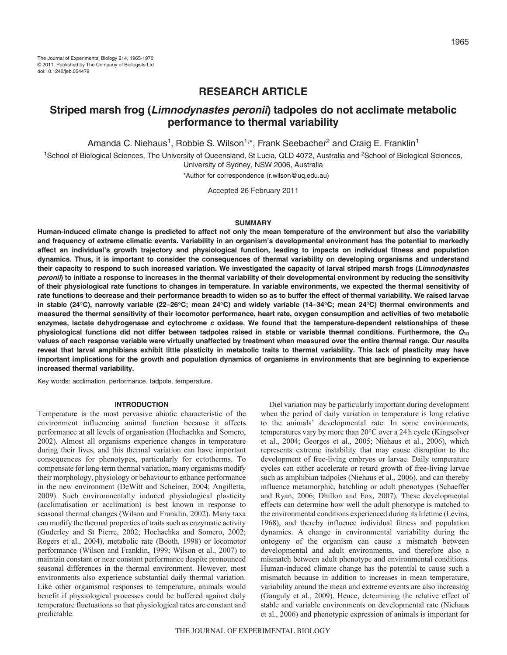# **RESEARCH ARTICLE**

# **Striped marsh frog (Limnodynastes peronii) tadpoles do not acclimate metabolic performance to thermal variability**

Amanda C. Niehaus<sup>1</sup>, Robbie S. Wilson<sup>1,\*</sup>, Frank Seebacher<sup>2</sup> and Craig E. Franklin<sup>1</sup>

<sup>1</sup>School of Biological Sciences, The University of Queensland, St Lucia, QLD 4072, Australia and <sup>2</sup>School of Biological Sciences, University of Sydney, NSW 2006, Australia

\*Author for correspondence (r.wilson@uq.edu.au)

Accepted 26 February 2011

## **SUMMARY**

**Human-induced climate change is predicted to affect not only the mean temperature of the environment but also the variability and frequency of extreme climatic events. Variability in an organism's developmental environment has the potential to markedly affect an individual's growth trajectory and physiological function, leading to impacts on individual fitness and population dynamics. Thus, it is important to consider the consequences of thermal variability on developing organisms and understand their capacity to respond to such increased variation. We investigated the capacity of larval striped marsh frogs (Limnodynastes peronii) to initiate a response to increases in the thermal variability of their developmental environment by reducing the sensitivity of their physiological rate functions to changes in temperature. In variable environments, we expected the thermal sensitivity of rate functions to decrease and their performance breadth to widen so as to buffer the effect of thermal variability. We raised larvae in stable (24°C), narrowly variable (22–26°C; mean 24°C) and widely variable (14–34°C; mean 24°C) thermal environments and measured the thermal sensitivity of their locomotor performance, heart rate, oxygen consumption and activities of two metabolic enzymes, lactate dehydrogenase and cytochrome <sup>c</sup> oxidase. We found that the temperature-dependent relationships of these physiological functions did not differ between tadpoles raised in stable or variable thermal conditions. Furthermore, the Q<sup>10</sup> values of each response variable were virtually unaffected by treatment when measured over the entire thermal range. Our results reveal that larval amphibians exhibit little plasticity in metabolic traits to thermal variability. This lack of plasticity may have important implications for the growth and population dynamics of organisms in environments that are beginning to experience increased thermal variability.**

Key words: acclimation, performance, tadpole, temperature.

#### **INTRODUCTION**

Temperature is the most pervasive abiotic characteristic of the environment influencing animal function because it affects performance at all levels of organisation (Hochachka and Somero, 2002). Almost all organisms experience changes in temperature during their lives, and this thermal variation can have important consequences for phenotypes, particularly for ectotherms. To compensate for long-term thermal variation, many organisms modify their morphology, physiology or behaviour to enhance performance in the new environment (DeWitt and Scheiner, 2004; Angilletta, 2009). Such environmentally induced physiological plasticity (acclimatisation or acclimation) is best known in response to seasonal thermal changes (Wilson and Franklin, 2002). Many taxa can modify the thermal properties of traits such as enzymatic activity (Guderley and St Pierre, 2002; Hochachka and Somero, 2002; Rogers et al., 2004), metabolic rate (Booth, 1998) or locomotor performance (Wilson and Franklin, 1999; Wilson et al., 2007) to maintain constant or near constant performance despite pronounced seasonal differences in the thermal environment. However, most environments also experience substantial daily thermal variation. Like other organismal responses to temperature, animals would benefit if physiological processes could be buffered against daily temperature fluctuations so that physiological rates are constant and predictable.

Diel variation may be particularly important during development when the period of daily variation in temperature is long relative to the animals' developmental rate. In some environments, temperatures vary by more than 20°C over a 24h cycle (Kingsolver et al., 2004; Georges et al., 2005; Niehaus et al., 2006), which represents extreme instability that may cause disruption to the development of free-living embryos or larvae. Daily temperature cycles can either accelerate or retard growth of free-living larvae such as amphibian tadpoles (Niehaus et al., 2006), and can thereby influence metamorphic, hatchling or adult phenotypes (Schaeffer and Ryan, 2006; Dhillon and Fox, 2007). These developmental effects can determine how well the adult phenotype is matched to the environmental conditions experienced during its lifetime (Levins, 1968), and thereby influence individual fitness and population dynamics. A change in environmental variability during the ontogeny of the organism can cause a mismatch between developmental and adult environments, and therefore also a mismatch between adult phenotype and environmental conditions. Human-induced climate change has the potential to cause such a mismatch because in addition to increases in mean temperature, variability around the mean and extreme events are also increasing (Ganguly et al., 2009). Hence, determining the relative effect of stable and variable environments on developmental rate (Niehaus et al., 2006) and phenotypic expression of animals is important for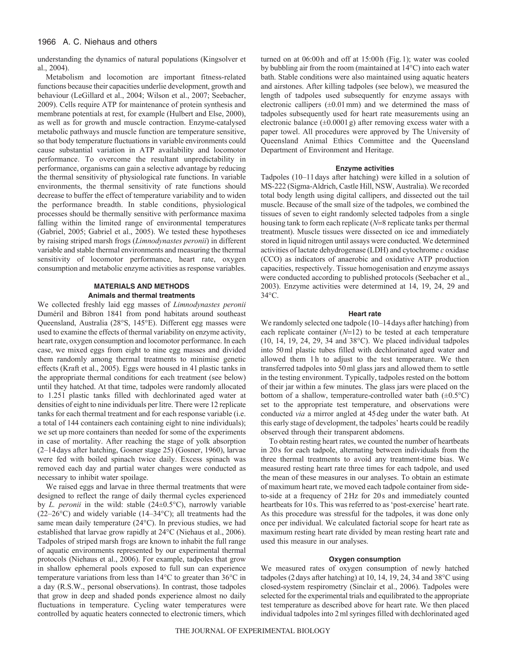## 1966 A. C. Niehaus and others

understanding the dynamics of natural populations (Kingsolver et al., 2004).

Metabolism and locomotion are important fitness-related functions because their capacities underlie development, growth and behaviour (LeGillard et al., 2004; Wilson et al., 2007; Seebacher, 2009). Cells require ATP for maintenance of protein synthesis and membrane potentials at rest, for example (Hulbert and Else, 2000), as well as for growth and muscle contraction. Enzyme-catalysed metabolic pathways and muscle function are temperature sensitive, so that body temperature fluctuations in variable environments could cause substantial variation in ATP availability and locomotor performance. To overcome the resultant unpredictability in performance, organisms can gain a selective advantage by reducing the thermal sensitivity of physiological rate functions. In variable environments, the thermal sensitivity of rate functions should decrease to buffer the effect of temperature variability and to widen the performance breadth. In stable conditions, physiological processes should be thermally sensitive with performance maxima falling within the limited range of environmental temperatures (Gabriel, 2005; Gabriel et al., 2005). We tested these hypotheses by raising striped marsh frogs (*Limnodynastes peronii*) in different variable and stable thermal environments and measuring the thermal sensitivity of locomotor performance, heart rate, oxygen consumption and metabolic enzyme activities as response variables.

## **MATERIALS AND METHODS Animals and thermal treatments**

We collected freshly laid egg masses of *Limnodynastes peronii* Duméril and Bibron 1841 from pond habitats around southeast Queensland, Australia (28°S, 145°E). Different egg masses were used to examine the effects of thermal variability on enzyme activity, heart rate, oxygen consumption and locomotor performance. In each case, we mixed eggs from eight to nine egg masses and divided them randomly among thermal treatments to minimise genetic effects (Kraft et al., 2005). Eggs were housed in 4l plastic tanks in the appropriate thermal conditions for each treatment (see below) until they hatched. At that time, tadpoles were randomly allocated to 1.25l plastic tanks filled with dechlorinated aged water at densities of eight to nine individuals per litre. There were 12 replicate tanks for each thermal treatment and for each response variable (i.e. a total of 144 containers each containing eight to nine individuals); we set up more containers than needed for some of the experiments in case of mortality. After reaching the stage of yolk absorption (2–14days after hatching, Gosner stage 25) (Gosner, 1960), larvae were fed with boiled spinach twice daily. Excess spinach was removed each day and partial water changes were conducted as necessary to inhibit water spoilage.

We raised eggs and larvae in three thermal treatments that were designed to reflect the range of daily thermal cycles experienced by *L. peronii* in the wild: stable (24±0.5°C), narrowly variable (22–26°C) and widely variable (14–34°C); all treatments had the same mean daily temperature (24°C). In previous studies, we had established that larvae grow rapidly at 24°C (Niehaus et al., 2006). Tadpoles of striped marsh frogs are known to inhabit the full range of aquatic environments represented by our experimental thermal protocols (Niehaus et al., 2006). For example, tadpoles that grow in shallow ephemeral pools exposed to full sun can experience temperature variations from less than 14°C to greater than 36°C in a day (R.S.W., personal observations). In contrast, those tadpoles that grow in deep and shaded ponds experience almost no daily fluctuations in temperature. Cycling water temperatures were controlled by aquatic heaters connected to electronic timers, which turned on at 06:00h and off at 15:00h (Fig.1); water was cooled by bubbling air from the room (maintained at 14°C) into each water bath. Stable conditions were also maintained using aquatic heaters and airstones. After killing tadpoles (see below), we measured the length of tadpoles used subsequently for enzyme assays with electronic callipers  $(\pm 0.01 \text{ mm})$  and we determined the mass of tadpoles subsequently used for heart rate measurements using an electronic balance  $(\pm 0.0001 \text{ g})$  after removing excess water with a paper towel. All procedures were approved by The University of Queensland Animal Ethics Committee and the Queensland Department of Environment and Heritage.

## **Enzyme activities**

Tadpoles (10–11days after hatching) were killed in a solution of MS-222 (Sigma-Aldrich, Castle Hill, NSW, Australia). We recorded total body length using digital callipers, and dissected out the tail muscle. Because of the small size of the tadpoles, we combined the tissues of seven to eight randomly selected tadpoles from a single housing tank to form each replicate ( $N=8$  replicate tanks per thermal treatment). Muscle tissues were dissected on ice and immediately stored in liquid nitrogen until assays were conducted. We determined activities of lactate dehydrogenase (LDH) and cytochrome *c* oxidase (CCO) as indicators of anaerobic and oxidative ATP production capacities, respectively. Tissue homogenisation and enzyme assays were conducted according to published protocols (Seebacher et al., 2003). Enzyme activities were determined at 14, 19, 24, 29 and 34°C.

#### **Heart rate**

We randomly selected one tadpole (10–14days after hatching) from each replicate container  $(N=12)$  to be tested at each temperature (10, 14, 19, 24, 29, 34 and 38°C). We placed individual tadpoles into 50ml plastic tubes filled with dechlorinated aged water and allowed them 1h to adjust to the test temperature. We then transferred tadpoles into 50ml glass jars and allowed them to settle in the testing environment. Typically, tadpoles rested on the bottom of their jar within a few minutes. The glass jars were placed on the bottom of a shallow, temperature-controlled water bath  $(\pm 0.5^{\circ}C)$ set to the appropriate test temperature, and observations were conducted *via* a mirror angled at 45deg under the water bath. At this early stage of development, the tadpoles' hearts could be readily observed through their transparent abdomens.

To obtain resting heart rates, we counted the number of heartbeats in 20s for each tadpole, alternating between individuals from the three thermal treatments to avoid any treatment-time bias. We measured resting heart rate three times for each tadpole, and used the mean of these measures in our analyses. To obtain an estimate of maximum heart rate, we moved each tadpole container from sideto-side at a frequency of 2Hz for 20s and immediately counted heartbeats for 10s. This was referred to as 'post-exercise' heart rate. As this procedure was stressful for the tadpoles, it was done only once per individual. We calculated factorial scope for heart rate as maximum resting heart rate divided by mean resting heart rate and used this measure in our analyses.

## **Oxygen consumption**

We measured rates of oxygen consumption of newly hatched tadpoles (2days after hatching) at 10, 14, 19, 24, 34 and 38°C using closed-system respirometry (Sinclair et al., 2006). Tadpoles were selected for the experimental trials and equilibrated to the appropriate test temperature as described above for heart rate. We then placed individual tadpoles into 2ml syringes filled with dechlorinated aged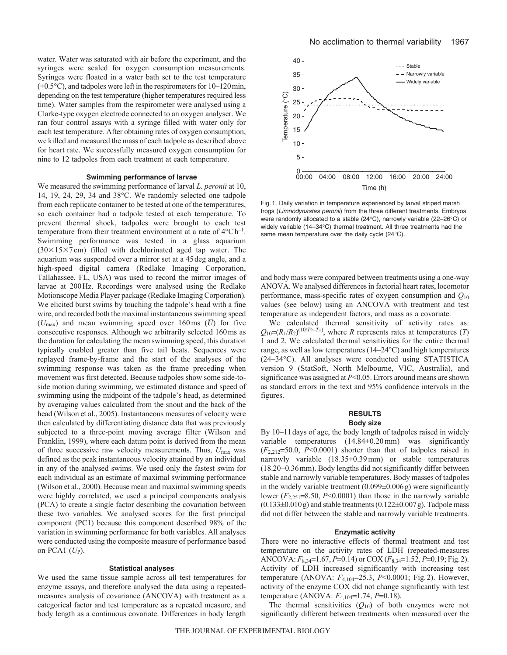water. Water was saturated with air before the experiment, and the syringes were sealed for oxygen consumption measurements. Syringes were floated in a water bath set to the test temperature  $(\pm 0.5^{\circ}C)$ , and tadpoles were left in the respirometers for 10–120 min, depending on the test temperature (higher temperatures required less time). Water samples from the respirometer were analysed using a Clarke-type oxygen electrode connected to an oxygen analyser. We ran four control assays with a syringe filled with water only for each test temperature. After obtaining rates of oxygen consumption, we killed and measured the mass of each tadpole as described above for heart rate. We successfully measured oxygen consumption for nine to 12 tadpoles from each treatment at each temperature.

## **Swimming performance of larvae**

We measured the swimming performance of larval *L. peronii* at 10, 14, 19, 24, 29, 34 and 38°C. We randomly selected one tadpole from each replicate container to be tested at one of the temperatures, so each container had a tadpole tested at each temperature. To prevent thermal shock, tadpoles were brought to each test temperature from their treatment environment at a rate of  $4^{\circ}Ch^{-1}$ . Swimming performance was tested in a glass aquarium  $(30\times15\times7$  cm) filled with dechlorinated aged tap water. The aquarium was suspended over a mirror set at a 45deg angle, and a high-speed digital camera (Redlake Imaging Corporation, Tallahassee, FL, USA) was used to record the mirror images of larvae at 200Hz. Recordings were analysed using the Redlake Motionscope Media Player package (Redlake Imaging Corporation). We elicited burst swims by touching the tadpole's head with a fine wire, and recorded both the maximal instantaneous swimming speed  $(U_{\text{max}})$  and mean swimming speed over 160ms  $(\overline{U})$  for five consecutive responses. Although we arbitrarily selected 160ms as the duration for calculating the mean swimming speed, this duration typically enabled greater than five tail beats. Sequences were replayed frame-by-frame and the start of the analyses of the swimming response was taken as the frame preceding when movement was first detected. Because tadpoles show some side-toside motion during swimming, we estimated distance and speed of swimming using the midpoint of the tadpole's head, as determined by averaging values calculated from the snout and the back of the head (Wilson et al., 2005). Instantaneous measures of velocity were then calculated by differentiating distance data that was previously subjected to a three-point moving average filter (Wilson and Franklin, 1999), where each datum point is derived from the mean of three successive raw velocity measurements. Thus, *U*max was defined as the peak instantaneous velocity attained by an individual in any of the analysed swims. We used only the fastest swim for each individual as an estimate of maximal swimming performance (Wilson et al., 2000). Because mean and maximal swimming speeds were highly correlated, we used a principal components analysis (PCA) to create a single factor describing the covariation between these two variables. We analysed scores for the first principal component (PC1) because this component described 98% of the variation in swimming performance for both variables. All analyses were conducted using the composite measure of performance based on PCA1 (*U*P).

#### **Statistical analyses**

We used the same tissue sample across all test temperatures for enzyme assays, and therefore analysed the data using a repeatedmeasures analysis of covariance (ANCOVA) with treatment as a categorical factor and test temperature as a repeated measure, and body length as a continuous covariate. Differences in body length



Fig. 1. Daily variation in temperature experienced by larval striped marsh frogs (Limnodynastes peronii) from the three different treatments. Embryos were randomly allocated to a stable (24°C), narrowly variable (22–26°C) or widely variable (14–34°C) thermal treatment. All three treatments had the same mean temperature over the daily cycle (24°C).

and body mass were compared between treatments using a one-way ANOVA. We analysed differences in factorial heart rates, locomotor performance, mass-specific rates of oxygen consumption and *Q*<sup>10</sup> values (see below) using an ANCOVA with treatment and test temperature as independent factors, and mass as a covariate.

We calculated thermal sensitivity of activity rates as:  $Q_{10} = (R_1/R_2)^{(10/T_2 - T_1)}$ , where *R* represents rates at temperatures (*T*) 1 and 2. We calculated thermal sensitivities for the entire thermal range, as well as low temperatures (14–24°C) and high temperatures (24–34°C). All analyses were conducted using STATISTICA version 9 (StatSoft, North Melbourne, VIC, Australia), and significance was assigned at *P*<0.05. Errors around means are shown as standard errors in the text and 95% confidence intervals in the figures.

## **RESULTS Body size**

By 10–11days of age, the body length of tadpoles raised in widely variable temperatures (14.84±0.20mm) was significantly  $(F_{2,212}=50.0, P<0.0001)$  shorter than that of tadpoles raised in narrowly variable (18.35±0.39mm) or stable temperatures (18.20±0.36mm). Body lengths did not significantly differ between stable and narrowly variable temperatures. Body masses of tadpoles in the widely variable treatment (0.099±0.006g) were significantly lower  $(F_{2,251}=8.50, P<0.0001)$  than those in the narrowly variable  $(0.133\pm0.010g)$  and stable treatments  $(0.122\pm0.007g)$ . Tadpole mass did not differ between the stable and narrowly variable treatments.

### **Enzymatic activity**

There were no interactive effects of thermal treatment and test temperature on the activity rates of LDH (repeated-measures ANCOVA:  $F_{8,34}$ =1.67, *P*=0.14) or COX ( $F_{8,34}$ =1.52, *P*=0.19; Fig. 2). Activity of LDH increased significantly with increasing test temperature (ANOVA:  $F_{4,104}$ =25.3, *P*<0.0001; Fig.2). However, activity of the enzyme COX did not change significantly with test temperature (ANOVA:  $F_{4,104}$ =1.74, *P*=0.18).

The thermal sensitivities  $(Q_{10})$  of both enzymes were not significantly different between treatments when measured over the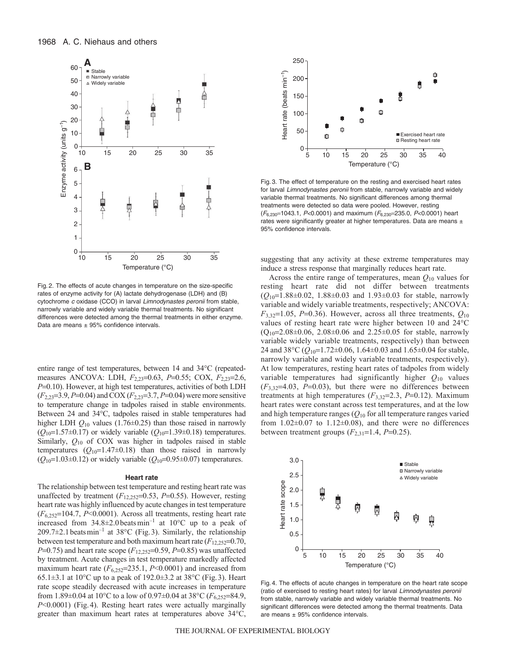

Fig. 2. The effects of acute changes in temperature on the size-specific rates of enzyme activity for (A) lactate dehydrogenase (LDH) and (B) cytochrome <sup>c</sup> oxidase (CCO) in larval Limnodynastes peronii from stable, narrowly variable and widely variable thermal treatments. No significant differences were detected among the thermal treatments in either enzyme. Data are means ± 95% confidence intervals.

entire range of test temperatures, between 14 and 34°C (repeatedmeasures ANCOVA: LDH,  $F_{2,23}=0.63$ ,  $P=0.55$ ; COX,  $F_{2,23}=2.6$ , *P*=0.10). However, at high test temperatures, activities of both LDH  $(F_{2,23}=3.9, P=0.04)$  and COX  $(F_{2,23}=3.7, P=0.04)$  were more sensitive to temperature change in tadpoles raised in stable environments. Between 24 and 34°C, tadpoles raised in stable temperatures had higher LDH  $Q_{10}$  values (1.76 $\pm$ 0.25) than those raised in narrowly  $(Q_{10}=1.57\pm0.17)$  or widely variable  $(Q_{10}=1.39\pm0.18)$  temperatures. Similarly, *Q*<sup>10</sup> of COX was higher in tadpoles raised in stable temperatures  $(Q_{10}=1.47\pm0.18)$  than those raised in narrowly  $(Q_{10}=1.03\pm0.12)$  or widely variable  $(Q_{10}=0.95\pm0.07)$  temperatures.

#### **Heart rate**

The relationship between test temperature and resting heart rate was unaffected by treatment  $(F_{12,252}=0.53, P=0.55)$ . However, resting heart rate was highly influenced by acute changes in test temperature  $(F_{6,252}$ =104.7, *P*<0.0001). Across all treatments, resting heart rate increased from  $34.8 \pm 2.0$  beats min<sup>-1</sup> at  $10^{\circ}$ C up to a peak of  $209.7\pm2.1$  beats min<sup>-1</sup> at 38°C (Fig. 3). Similarly, the relationship between test temperature and both maximum heart rate  $(F_{12,252}=0.70)$ , *P*=0.75) and heart rate scope ( $F_{12,252}$ =0.59, *P*=0.85) was unaffected by treatment. Acute changes in test temperature markedly affected maximum heart rate  $(F_{6,252}=235.1, P<0.0001)$  and increased from 65.1±3.1 at 10°C up to a peak of 192.0±3.2 at 38°C (Fig.3). Heart rate scope steadily decreased with acute increases in temperature from 1.89 $\pm$ 0.04 at 10°C to a low of 0.97 $\pm$ 0.04 at 38°C ( $F_{6,252}$ =84.9, *P*<0.0001) (Fig.4). Resting heart rates were actually marginally greater than maximum heart rates at temperatures above 34°C,



Fig. 3. The effect of temperature on the resting and exercised heart rates for larval Limnodynastes peronii from stable, narrowly variable and widely variable thermal treatments. No significant differences among thermal treatments were detected so data were pooled. However, resting  $(F_{6,230}$ =1043.1, P<0.0001) and maximum ( $F_{6,230}$ =235.0, P<0.0001) heart rates were significantly greater at higher temperatures. Data are means  $\pm$ 95% confidence intervals.

suggesting that any activity at these extreme temperatures may induce a stress response that marginally reduces heart rate.

Across the entire range of temperatures, mean *Q*<sup>10</sup> values for resting heart rate did not differ between treatments  $(Q_{10}=1.88\pm0.02, 1.88\pm0.03$  and  $1.93\pm0.03$  for stable, narrowly variable and widely variable treatments, respectively; ANCOVA:  $F_{3,32}=1.05$ , *P*=0.36). However, across all three treatments,  $Q_{10}$ values of resting heart rate were higher between 10 and 24°C  $(Q_{10}=2.08\pm0.06, 2.08\pm0.06, 2.08\pm0.06, 2.25\pm0.05, 6.05$  for stable, narrowly variable widely variable treatments, respectively) than between 24 and 38°C ( $Q_{10}$ =1.72±0.06, 1.64±0.03 and 1.65±0.04 for stable, narrowly variable and widely variable treatments, respectively). At low temperatures, resting heart rates of tadpoles from widely variable temperatures had significantly higher *Q*<sup>10</sup> values  $(F_{3,32}=4.03, P=0.03)$ , but there were no differences between treatments at high temperatures  $(F_{3,32}=2.3, P=0.12)$ . Maximum heart rates were constant across test temperatures, and at the low and high temperature ranges (*Q*<sup>10</sup> for all temperature ranges varied from  $1.02\pm0.07$  to  $1.12\pm0.08$ ), and there were no differences between treatment groups  $(F_{2,31} = 1.4, P = 0.25)$ .



Fig. 4. The effects of acute changes in temperature on the heart rate scope (ratio of exercised to resting heart rates) for larval Limnodynastes peronii from stable, narrowly variable and widely variable thermal treatments. No significant differences were detected among the thermal treatments. Data are means ± 95% confidence intervals.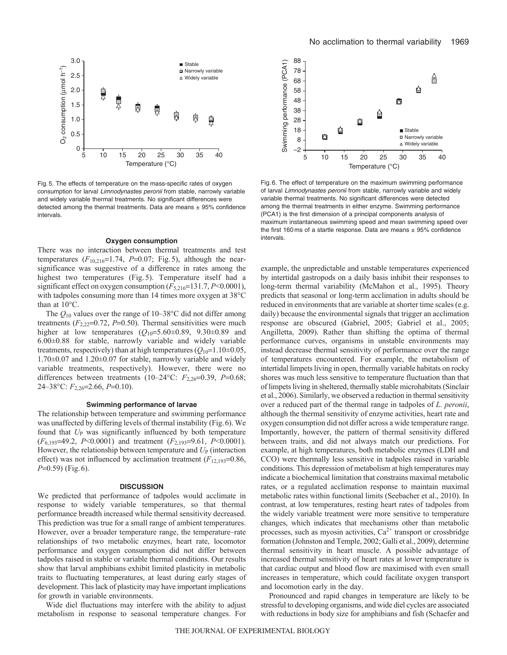

Fig. 5. The effects of temperature on the mass-specific rates of oxygen consumption for larval Limnodynastes peronii from stable, narrowly variable and widely variable thermal treatments. No significant differences were detected among the thermal treatments. Data are means  $\pm$  95% confidence intervals.

#### **Oxygen consumption**

There was no interaction between thermal treatments and test temperatures  $(F_{10,216}=1.74, P=0.07;$  Fig. 5), although the nearsignificance was suggestive of a difference in rates among the highest two temperatures (Fig. 5). Temperature itself had a significant effect on oxygen consumption  $(F_{5,216}=131.7, P<0.0001)$ , with tadpoles consuming more than 14 times more oxygen at 38°C than at 10°C.

The *Q*<sup>10</sup> values over the range of 10–38°C did not differ among treatments  $(F_{2,22}=0.72, P=0.50)$ . Thermal sensitivities were much higher at low temperatures  $(Q_{10} = 5.60 \pm 0.89, 9.30 \pm 0.89$  and 6.00±0.88 for stable, narrowly variable and widely variable treatments, respectively) than at high temperatures  $(Q_{10}=1.10\pm0.05,$ 1.70±0.07 and 1.20±0.07 for stable, narrowly variable and widely variable treatments, respectively). However, there were no differences between treatments (10–24°C:  $F_{2,26}$ =0.39, *P*=0.68; 24–38°C:  $F_{2,26}$ =2.66, *P*=0.10).

#### **Swimming performance of larvae**

The relationship between temperature and swimming performance was unaffected by differing levels of thermal instability (Fig.6). We found that  $U_P$  was significantly influenced by both temperature  $(F_{6,193}=49.2, P<0.0001)$  and treatment  $(F_{2,193}=9.61, P<0.0001)$ . However, the relationship between temperature and *U*<sub>P</sub> (interaction effect) was not influenced by acclimation treatment  $(F_{12,193}=0.86,$ *P*=0.59) (Fig. 6).

### **DISCUSSION**

We predicted that performance of tadpoles would acclimate in response to widely variable temperatures, so that thermal performance breadth increased while thermal sensitivity decreased. This prediction was true for a small range of ambient temperatures. However, over a broader temperature range, the temperature–rate relationships of two metabolic enzymes, heart rate, locomotor performance and oxygen consumption did not differ between tadpoles raised in stable or variable thermal conditions. Our results show that larval amphibians exhibit limited plasticity in metabolic traits to fluctuating temperatures, at least during early stages of development. This lack of plasticity may have important implications for growth in variable environments.

Wide diel fluctuations may interfere with the ability to adjust metabolism in response to seasonal temperature changes. For



Fig. 6. The effect of temperature on the maximum swimming performance of larval Limnodynastes peronii from stable, narrowly variable and widely variable thermal treatments. No significant differences were detected among the thermal treatments in either enzyme. Swimming performance (PCA1) is the first dimension of a principal components analysis of maximum instantaneous swimming speed and mean swimming speed over the first 160 ms of a startle response. Data are means  $\pm$  95% confidence intervals.

example, the unpredictable and unstable temperatures experienced by intertidal gastropods on a daily basis inhibit their responses to long-term thermal variability (McMahon et al., 1995). Theory predicts that seasonal or long-term acclimation in adults should be reduced in environments that are variable at shorter time scales (e.g. daily) because the environmental signals that trigger an acclimation response are obscured (Gabriel, 2005; Gabriel et al., 2005; Angilletta, 2009). Rather than shifting the optima of thermal performance curves, organisms in unstable environments may instead decrease thermal sensitivity of performance over the range of temperatures encountered. For example, the metabolism of intertidal limpets living in open, thermally variable habitats on rocky shores was much less sensitive to temperature fluctuation than that of limpets living in sheltered, thermally stable microhabitats (Sinclair et al., 2006). Similarly, we observed a reduction in thermal sensitivity over a reduced part of the thermal range in tadpoles of *L. peronii*, although the thermal sensitivity of enzyme activities, heart rate and oxygen consumption did not differ across a wide temperature range. Importantly, however, the pattern of thermal sensitivity differed between traits, and did not always match our predictions. For example, at high temperatures, both metabolic enzymes (LDH and CCO) were thermally less sensitive in tadpoles raised in variable conditions. This depression of metabolism at high temperatures may indicate a biochemical limitation that constrains maximal metabolic rates, or a regulated acclimation response to maintain maximal metabolic rates within functional limits (Seebacher et al., 2010). In contrast, at low temperatures, resting heart rates of tadpoles from the widely variable treatment were more sensitive to temperature changes, which indicates that mechanisms other than metabolic processes, such as myosin activities,  $Ca^{2+}$  transport or crossbridge formation (Johnston and Temple, 2002; Galli et al., 2009), determine thermal sensitivity in heart muscle. A possible advantage of increased thermal sensitivity of heart rates at lower temperature is that cardiac output and blood flow are maximised with even small increases in temperature, which could facilitate oxygen transport and locomotion early in the day.

Pronounced and rapid changes in temperature are likely to be stressful to developing organisms, and wide diel cycles are associated with reductions in body size for amphibians and fish (Schaefer and